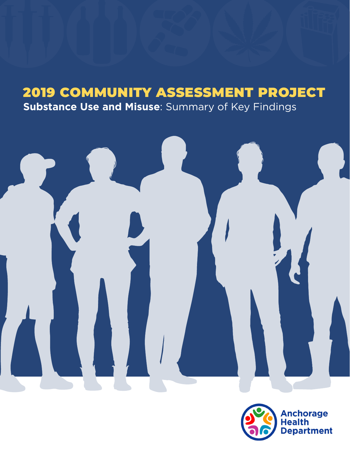## 2019 COMMUNITY ASSESSMENT PROJECT

**Substance Use and Misuse**: Summary of Key Findings



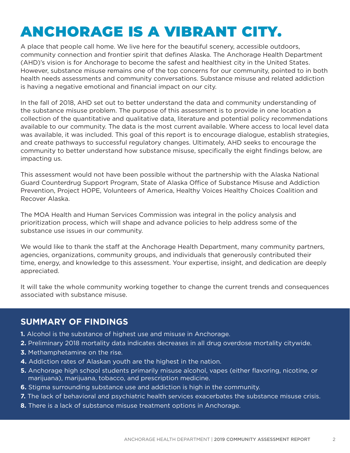# ANCHORAGE IS A VIBRANT CITY.

A place that people call home. We live here for the beautiful scenery, accessible outdoors, community connection and frontier spirit that defines Alaska. The Anchorage Health Department (AHD)'s vision is for Anchorage to become the safest and healthiest city in the United States. However, substance misuse remains one of the top concerns for our community, pointed to in both health needs assessments and community conversations. Substance misuse and related addiction is having a negative emotional and financial impact on our city.

In the fall of 2018, AHD set out to better understand the data and community understanding of the substance misuse problem. The purpose of this assessment is to provide in one location a collection of the quantitative and qualitative data, literature and potential policy recommendations available to our community. The data is the most current available. Where access to local level data was available, it was included. This goal of this report is to encourage dialogue, establish strategies, and create pathways to successful regulatory changes. Ultimately, AHD seeks to encourage the community to better understand how substance misuse, specifically the eight findings below, are impacting us.

This assessment would not have been possible without the partnership with the Alaska National Guard Counterdrug Support Program, State of Alaska Office of Substance Misuse and Addiction Prevention, Project HOPE, Volunteers of America, Healthy Voices Healthy Choices Coalition and Recover Alaska.

The MOA Health and Human Services Commission was integral in the policy analysis and prioritization process, which will shape and advance policies to help address some of the substance use issues in our community.

We would like to thank the staff at the Anchorage Health Department, many community partners, agencies, organizations, community groups, and individuals that generously contributed their time, energy, and knowledge to this assessment. Your expertise, insight, and dedication are deeply appreciated.

It will take the whole community working together to change the current trends and consequences associated with substance misuse.

### **SUMMARY OF FINDINGS**

- **1.** Alcohol is the substance of highest use and misuse in Anchorage.
- **2.** Preliminary 2018 mortality data indicates decreases in all drug overdose mortality citywide.
- **3.** Methamphetamine on the rise.
- **4.** Addiction rates of Alaskan youth are the highest in the nation.
- **5.** Anchorage high school students primarily misuse alcohol, vapes (either flavoring, nicotine, or marijuana), marijuana, tobacco, and prescription medicine.
- **6.** Stigma surrounding substance use and addiction is high in the community.
- **7.** The lack of behavioral and psychiatric health services exacerbates the substance misuse crisis.
- **8.** There is a lack of substance misuse treatment options in Anchorage.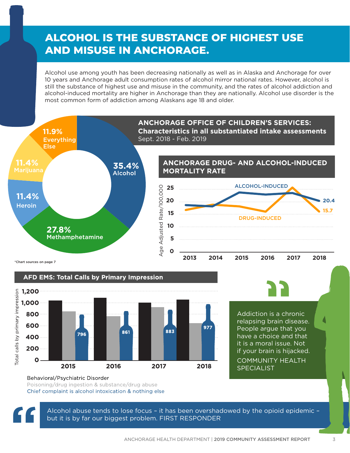## **ALCOHOL IS THE SUBSTANCE OF HIGHEST USE AND MISUSE IN ANCHORAGE.**

Alcohol use among youth has been decreasing nationally as well as in Alaska and Anchorage for over 10 years and Anchorage adult consumption rates of alcohol mirror national rates. However, alcohol is still the substance of highest use and misuse in the community, and the rates of alcohol addiction and alcohol-induced mortality are higher in Anchorage than they are nationally. Alcohol use disorder is the most common form of addiction among Alaskans age 18 and older.





Addiction is a chronic relapsing brain disease. People argue that you have a choice and that it is a moral issue. Not if your brain is hijacked.

### COMMUNITY HEALTH SPECIALIST

### Behavioral/Psychiatric Disorder Poisoning/drug ingestion & substance/drug abuse Chief complaint is alcohol intoxication & nothing else

Alcohol abuse tends to lose focus – it has been overshadowed by the opioid epidemic – but it is by far our biggest problem. FIRST RESPONDER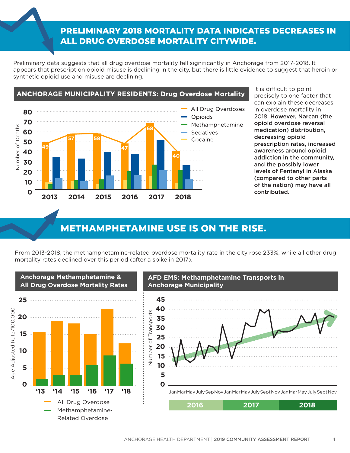## **PRELIMINARY 2018 MORTALITY DATA INDICATES DECREASES IN** ALL DRUG OVERDOSE MORTALITY CITYWIDE.

Preliminary data suggests that all drug overdose mortality fell significantly in Anchorage from 2017-2018. It appears that prescription opioid misuse is declining in the city, but there is little evidence to suggest that heroin or synthetic opioid use and misuse are declining.



It is difficult to point precisely to one factor that can explain these decreases in overdose mortality in 2018. However, Narcan (the opioid overdose reversal medication) distribution, decreasing opioid prescription rates, increased awareness around opioid addiction in the community, and the possibly lower levels of Fentanyl in Alaska (compared to other parts of the nation) may have all contributed.

## **METHAMPHETAMINE USE IS ON THE RISE.**

From 2013-2018, the methamphetamine-related overdose mortality rate in the city rose 233%, while all other drug mortality rates declined over this period (after a spike in 2017).

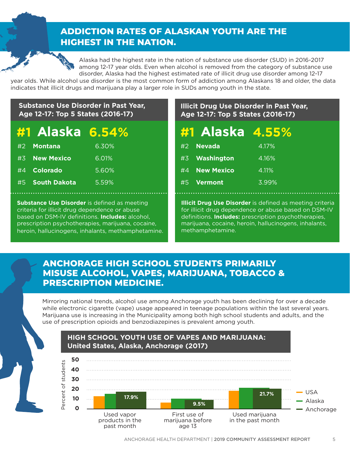## **ADDICTION RATES OF ALASKAN YOUTH ARE THE HIGHEST IN THE NATION.**



Alaska had the highest rate in the nation of substance use disorder (SUD) in 2016-2017 among 12-17 year olds. Even when alcohol is removed from the category of substance use disorder, Alaska had the highest estimated rate of illicit drug use disorder among 12-17

year olds. While alcohol use disorder is the most common form of addiction among Alaskans 18 and older, the data indicates that illicit drugs and marijuana play a larger role in SUDs among youth in the state.

### **Substance Use Disorder in Past Year, Age 12-17: Top 5 States (2016-17)**

## **#1 Alaska 6.54% 4.55%**

| #2 <b>Montana</b> | 6.30% |
|-------------------|-------|
| #3 New Mexico     | 6.01% |
| #4 Colorado       | 5.60% |
| #5 South Dakota   | 5.59% |

**Substance Use Disorder** is defined as meeting criteria for illicit drug dependence or abuse based on DSM-IV definitions. **Includes:** alcohol, prescription psychotherapies, marijuana, cocaine, heroin, hallucinogens, inhalants, methamphetamine.

### **Illicit Drug Use Disorder in Past Year, Age 12-17: Top 5 States (2016-17)**

| #1 Alaska 4.55% |          |
|-----------------|----------|
| #2 Nevada       | $4.17\%$ |
| #3 Washington   | 4.16%    |
| #4 New Mexico   | 4.11%    |
| #5 Vermont      | 3.99%    |

**Illicit Drug Use Disorder** is defined as meeting criteria for illicit drug dependence or abuse based on DSM-IV definitions. **Includes:** prescription psychotherapies, marijuana, cocaine, heroin, hallucinogens, inhalants, methamphetamine.

### **ANCHORAGE HIGH SCHOOL STUDENTS PRIMARILY MISUSE ALCOHOL, VAPES, MARIJUANA, TOBACCO & PRESCRIPTION MEDICINE.**

Mirroring national trends, alcohol use among Anchorage youth has been declining for over a decade while electronic cigarette (vape) usage appeared in teenage populations within the last several years. Marijuana use is increasing in the Municipality among both high school students and adults, and the use of prescription opioids and benzodiazepines is prevalent among youth.

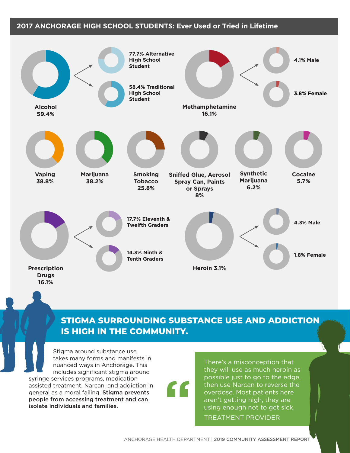### **2017 ANCHORAGE HIGH SCHOOL STUDENTS: Ever Used or Tried in Lifetime**



## STIGMA SURROUNDING SUBSTANCE USE AND ADDICTION **IS HIGH IN THE COMMUNITY.**

"

Stigma around substance use takes many forms and manifests in nuanced ways in Anchorage. This includes significant stigma around syringe services programs, medication assisted treatment, Narcan, and addiction in general as a moral failing. Stigma prevents people from accessing treatment and can isolate individuals and families.

There's a misconception that they will use as much heroin as possible just to go to the edge, then use Narcan to reverse the overdose. Most patients here aren't getting high, they are using enough not to get sick. TREATMENT PROVIDER

ANCHORAGE HEALTH DEPARTMENT | 2019 COMMUNITY ASSESSMENT REPORT 6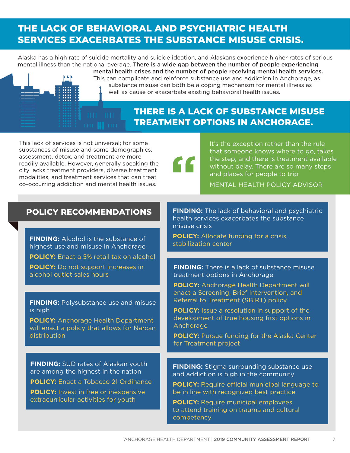## THE LACK OF BEHAVIORAL AND PSYCHIATRIC HEALTH **SERVICES EXACERBATES THE SUBSTANCE MISUSE CRISIS.**

Alaska has a high rate of suicide mortality and suicide ideation, and Alaskans experience higher rates of serious mental illness than the national average. There is a wide gap between the number of people experiencing mental health crises and the number of people receiving mental health services.

"

This can complicate and reinforce substance use and addiction in Anchorage, as substance misuse can both be a coping mechanism for mental illness as well as cause or exacerbate existing behavioral health issues.

## **THERE IS A LACK OF SUBSTANCE MISUSE TREATMENT OPTIONS IN ANCHORAGE.**

This lack of services is not universal; for some substances of misuse and some demographics, assessment, detox, and treatment are more readily available. However, generally speaking the city lacks treatment providers, diverse treatment modalities, and treatment services that can treat co-occurring addiction and mental health issues.

It's the exception rather than the rule that someone knows where to go, takes the step, and there is treatment available without delay. There are so many steps and places for people to trip.

MENTAL HEALTH POLICY ADVISOR

### **POLICY RECOMMENDATIONS**

**FINDING:** Alcohol is the substance of highest use and misuse in Anchorage **POLICY:** Enact a 5% retail tax on alcohol **POLICY:** Do not support increases in alcohol outlet sales hours

**FINDING:** Polysubstance use and misuse is high

**POLICY:** Anchorage Health Department will enact a policy that allows for Narcan distribution

**FINDING:** SUD rates of Alaskan youth are among the highest in the nation **POLICY:** Enact a Tobacco 21 Ordinance **POLICY:** Invest in free or inexpensive extracurricular activities for youth

**FINDING:** The lack of behavioral and psychiatric health services exacerbates the substance misuse crisis

**POLICY:** Allocate funding for a crisis stabilization center

**FINDING:** There is a lack of substance misuse treatment options in Anchorage

**POLICY:** Anchorage Health Department will enact a Screening, Brief Intervention, and Referral to Treatment (SBIRT) policy

**POLICY:** Issue a resolution in support of the development of true housing first options in Anchorage

**POLICY:** Pursue funding for the Alaska Center for Treatment project

**FINDING:** Stigma surrounding substance use and addiction is high in the community

**POLICY:** Require official municipal language to be in line with recognized best practice

**POLICY:** Require municipal employees to attend training on trauma and cultural competency